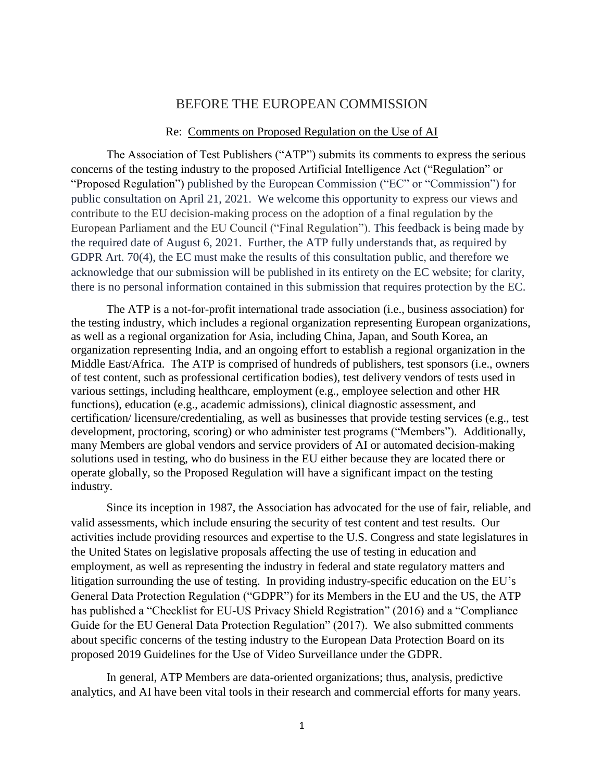### BEFORE THE EUROPEAN COMMISSION

#### Re: Comments on Proposed Regulation on the Use of AI

The Association of Test Publishers ("ATP") submits its comments to express the serious concerns of the testing industry to the proposed Artificial Intelligence Act ("Regulation" or "Proposed Regulation") published by the European Commission ("EC" or "Commission") for public consultation on April 21, 2021. We welcome this opportunity to express our views and contribute to the EU decision-making process on the adoption of a final regulation by the European Parliament and the EU Council ("Final Regulation"). This feedback is being made by the required date of August 6, 2021. Further, the ATP fully understands that, as required by GDPR Art. 70(4), the EC must make the results of this consultation public, and therefore we acknowledge that our submission will be published in its entirety on the EC website; for clarity, there is no personal information contained in this submission that requires protection by the EC.

The ATP is a not-for-profit international trade association (i.e., business association) for the testing industry, which includes a regional organization representing European organizations, as well as a regional organization for Asia, including China, Japan, and South Korea, an organization representing India, and an ongoing effort to establish a regional organization in the Middle East/Africa. The ATP is comprised of hundreds of publishers, test sponsors (i.e., owners of test content, such as professional certification bodies), test delivery vendors of tests used in various settings, including healthcare, employment (e.g., employee selection and other HR functions), education (e.g., academic admissions), clinical diagnostic assessment, and certification/ licensure/credentialing, as well as businesses that provide testing services (e.g., test development, proctoring, scoring) or who administer test programs ("Members"). Additionally, many Members are global vendors and service providers of AI or automated decision-making solutions used in testing, who do business in the EU either because they are located there or operate globally, so the Proposed Regulation will have a significant impact on the testing industry.

Since its inception in 1987, the Association has advocated for the use of fair, reliable, and valid assessments, which include ensuring the security of test content and test results. Our activities include providing resources and expertise to the U.S. Congress and state legislatures in the United States on legislative proposals affecting the use of testing in education and employment, as well as representing the industry in federal and state regulatory matters and litigation surrounding the use of testing. In providing industry-specific education on the EU's General Data Protection Regulation ("GDPR") for its Members in the EU and the US, the ATP has published a "Checklist for EU-US Privacy Shield Registration" (2016) and a "Compliance Guide for the EU General Data Protection Regulation" (2017). We also submitted comments about specific concerns of the testing industry to the European Data Protection Board on its proposed 2019 Guidelines for the Use of Video Surveillance under the GDPR.

In general, ATP Members are data-oriented organizations; thus, analysis, predictive analytics, and AI have been vital tools in their research and commercial efforts for many years.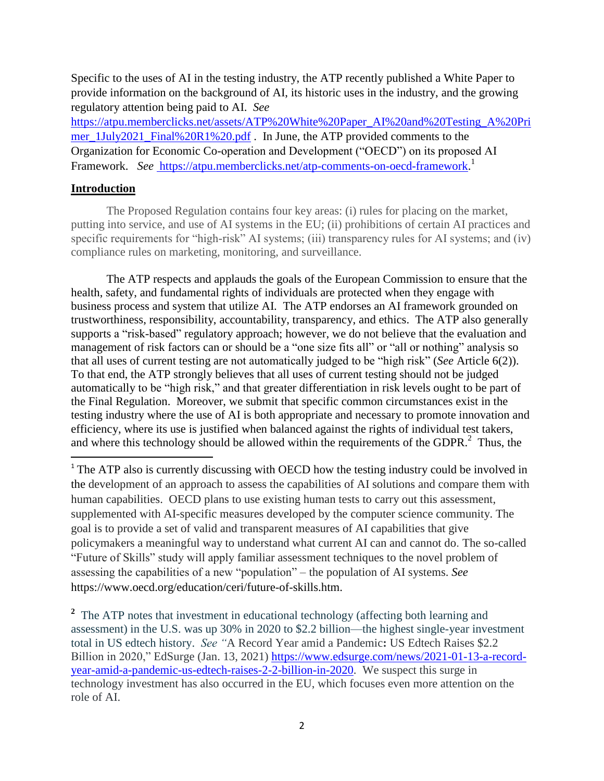Specific to the uses of AI in the testing industry, the ATP recently published a White Paper to provide information on the background of AI, its historic uses in the industry, and the growing regulatory attention being paid to AI. *See* 

[https://atpu.memberclicks.net/assets/ATP%20White%20Paper\\_AI%20and%20Testing\\_A%20Pri](https://atpu.memberclicks.net/assets/ATP%20White%20Paper_AI%20and%20Testing_A%20Primer_1July2021_Final%20R1%20.pdf) [mer\\_1July2021\\_Final%20R1%20.pdf](https://atpu.memberclicks.net/assets/ATP%20White%20Paper_AI%20and%20Testing_A%20Primer_1July2021_Final%20R1%20.pdf) . In June, the ATP provided comments to the Organization for Economic Co-operation and Development ("OECD") on its proposed AI Framework. See [https://atpu.memberclicks.net/atp-comments-on-oecd-framework.](https://atpu.memberclicks.net/atp-comments-on-oecd-framework)<sup>1</sup>

## **Introduction**

 $\overline{\phantom{a}}$ 

The Proposed Regulation contains four key areas: (i) rules for placing on the market, putting into service, and use of AI systems in the EU; (ii) prohibitions of certain AI practices and specific requirements for "high-risk" AI systems; (iii) transparency rules for AI systems; and (iv) compliance rules on marketing, monitoring, and surveillance.

The ATP respects and applauds the goals of the European Commission to ensure that the health, safety, and fundamental rights of individuals are protected when they engage with business process and system that utilize AI. The ATP endorses an AI framework grounded on trustworthiness, responsibility, accountability, transparency, and ethics. The ATP also generally supports a "risk-based" regulatory approach; however, we do not believe that the evaluation and management of risk factors can or should be a "one size fits all" or "all or nothing" analysis so that all uses of current testing are not automatically judged to be "high risk" (*See* Article 6(2)). To that end, the ATP strongly believes that all uses of current testing should not be judged automatically to be "high risk," and that greater differentiation in risk levels ought to be part of the Final Regulation. Moreover, we submit that specific common circumstances exist in the testing industry where the use of AI is both appropriate and necessary to promote innovation and efficiency, where its use is justified when balanced against the rights of individual test takers, and where this technology should be allowed within the requirements of the GDPR.<sup>2</sup> Thus, the

<sup>1</sup> The ATP also is currently discussing with OECD how the testing industry could be involved in the development of an approach to assess the capabilities of AI solutions and compare them with human capabilities. OECD plans to use existing human tests to carry out this assessment, supplemented with AI-specific measures developed by the computer science community. The goal is to provide a set of valid and transparent measures of AI capabilities that give policymakers a meaningful way to understand what current AI can and cannot do. The so-called "Future of Skills" study will apply familiar assessment techniques to the novel problem of assessing the capabilities of a new "population" – the population of AI systems. *See* https://www.oecd.org/education/ceri/future-of-skills.htm.

<sup>2</sup> The ATP notes that investment in educational technology (affecting both learning and assessment) in the U.S. was up 30% in 2020 to \$2.2 billion—the highest single-year investment total in US edtech history. *See "*A Record Year amid a Pandemic**:** US Edtech Raises \$2.2 Billion in 2020," EdSurge (Jan. 13, 2021) [https://www.edsurge.com/news/2021-01-13-a-record](https://www.edsurge.com/news/2021-01-13-a-record-year-amid-a-pandemic-us-edtech-raises-2-2-billion-in-2020)[year-amid-a-pandemic-us-edtech-raises-2-2-billion-in-2020.](https://www.edsurge.com/news/2021-01-13-a-record-year-amid-a-pandemic-us-edtech-raises-2-2-billion-in-2020) We suspect this surge in technology investment has also occurred in the EU, which focuses even more attention on the role of AI.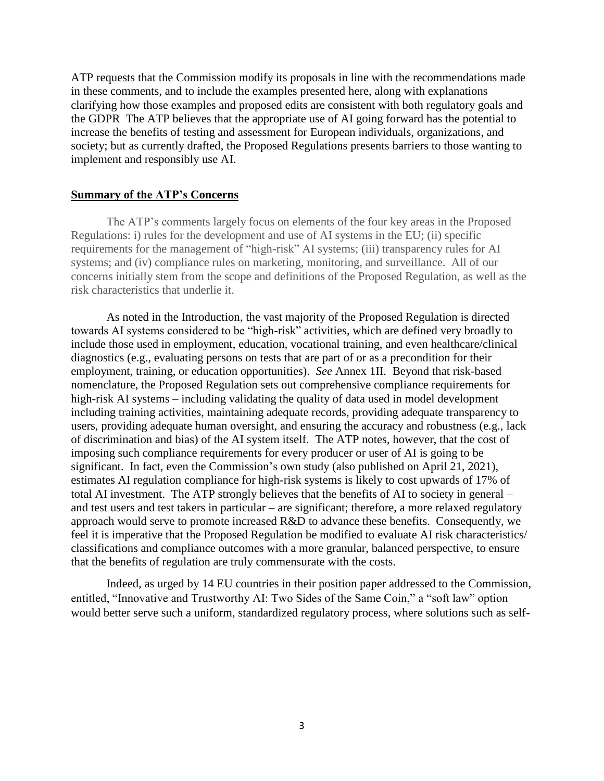ATP requests that the Commission modify its proposals in line with the recommendations made in these comments, and to include the examples presented here, along with explanations clarifying how those examples and proposed edits are consistent with both regulatory goals and the GDPR The ATP believes that the appropriate use of AI going forward has the potential to increase the benefits of testing and assessment for European individuals, organizations, and society; but as currently drafted, the Proposed Regulations presents barriers to those wanting to implement and responsibly use AI.

### **Summary of the ATP's Concerns**

The ATP's comments largely focus on elements of the four key areas in the Proposed Regulations: i) rules for the development and use of AI systems in the EU; (ii) specific requirements for the management of "high-risk" AI systems; (iii) transparency rules for AI systems; and (iv) compliance rules on marketing, monitoring, and surveillance. All of our concerns initially stem from the scope and definitions of the Proposed Regulation, as well as the risk characteristics that underlie it.

As noted in the Introduction, the vast majority of the Proposed Regulation is directed towards AI systems considered to be "high-risk" activities, which are defined very broadly to include those used in employment, education, vocational training, and even healthcare/clinical diagnostics (e.g., evaluating persons on tests that are part of or as a precondition for their employment, training, or education opportunities). *See* Annex 1II. Beyond that risk-based nomenclature, the Proposed Regulation sets out comprehensive compliance requirements for high-risk AI systems – including validating the quality of data used in model development including training activities, maintaining adequate records, providing adequate transparency to users, providing adequate human oversight, and ensuring the accuracy and robustness (e.g., lack of discrimination and bias) of the AI system itself. The ATP notes, however, that the cost of imposing such compliance requirements for every producer or user of AI is going to be significant. In fact, even the Commission's own study (also published on April 21, 2021), estimates AI regulation compliance for high-risk systems is likely to cost upwards of 17% of total AI investment. The ATP strongly believes that the benefits of AI to society in general – and test users and test takers in particular – are significant; therefore, a more relaxed regulatory approach would serve to promote increased R&D to advance these benefits. Consequently, we feel it is imperative that the Proposed Regulation be modified to evaluate AI risk characteristics/ classifications and compliance outcomes with a more granular, balanced perspective, to ensure that the benefits of regulation are truly commensurate with the costs.

Indeed, as urged by 14 EU countries in their position paper addressed to the Commission, entitled, "Innovative and Trustworthy AI: Two Sides of the Same Coin," a "soft law" option would better serve such a uniform, standardized regulatory process, where solutions such as self-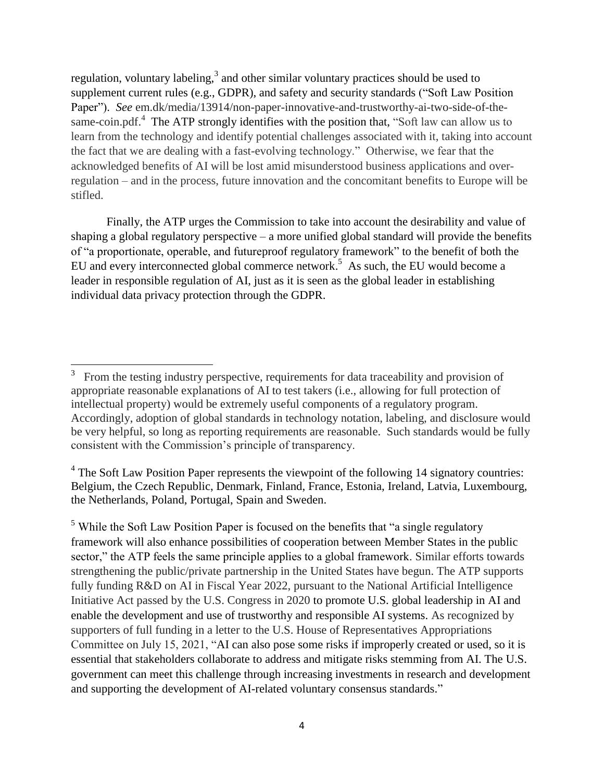regulation, voluntary labeling, $3$  and other similar voluntary practices should be used to supplement current rules (e.g., GDPR), and safety and security standards ("Soft Law Position Paper"). *See* em.dk/media/13914/non-paper-innovative-and-trustworthy-ai-two-side-of-thesame-coin.pdf.<sup>4</sup> The ATP strongly identifies with the position that, "Soft law can allow us to learn from the technology and identify potential challenges associated with it, taking into account the fact that we are dealing with a fast-evolving technology." Otherwise, we fear that the acknowledged benefits of AI will be lost amid misunderstood business applications and overregulation – and in the process, future innovation and the concomitant benefits to Europe will be stifled.

Finally, the ATP urges the Commission to take into account the desirability and value of shaping a global regulatory perspective – a more unified global standard will provide the benefits of "a proportionate, operable, and futureproof regulatory framework" to the benefit of both the EU and every interconnected global commerce network.<sup>5</sup> As such, the EU would become a leader in responsible regulation of AI, just as it is seen as the global leader in establishing individual data privacy protection through the GDPR.

 $<sup>5</sup>$  While the Soft Law Position Paper is focused on the benefits that "a single regulatory</sup> framework will also enhance possibilities of cooperation between Member States in the public sector," the ATP feels the same principle applies to a global framework. Similar efforts towards strengthening the public/private partnership in the United States have begun. The ATP supports fully funding R&D on AI in Fiscal Year 2022, pursuant to the National Artificial Intelligence Initiative Act passed by the U.S. Congress in 2020 to promote U.S. global leadership in AI and enable the development and use of trustworthy and responsible AI systems. As recognized by supporters of full funding in a letter to the U.S. House of Representatives Appropriations Committee on July 15, 2021, "AI can also pose some risks if improperly created or used, so it is essential that stakeholders collaborate to address and mitigate risks stemming from AI. The U.S. government can meet this challenge through increasing investments in research and development and supporting the development of AI-related voluntary consensus standards."

<sup>&</sup>lt;sup>3</sup> From the testing industry perspective, requirements for data traceability and provision of appropriate reasonable explanations of AI to test takers (i.e., allowing for full protection of intellectual property) would be extremely useful components of a regulatory program. Accordingly, adoption of global standards in technology notation, labeling, and disclosure would be very helpful, so long as reporting requirements are reasonable. Such standards would be fully consistent with the Commission's principle of transparency.

 $4$  The Soft Law Position Paper represents the viewpoint of the following 14 signatory countries: Belgium, the Czech Republic, Denmark, Finland, France, Estonia, Ireland, Latvia, Luxembourg, the Netherlands, Poland, Portugal, Spain and Sweden.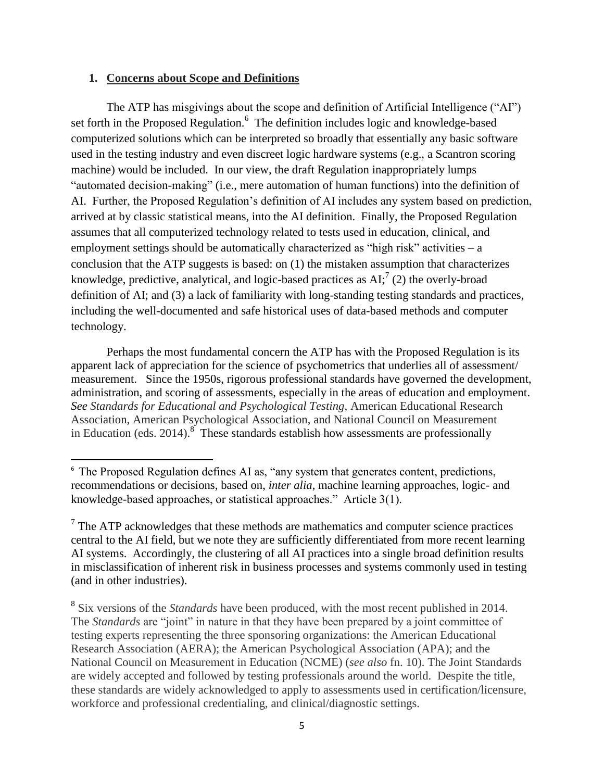### **1. Concerns about Scope and Definitions**

 $\overline{\phantom{a}}$ 

The ATP has misgivings about the scope and definition of Artificial Intelligence ("AI") set forth in the Proposed Regulation.<sup>6</sup> The definition includes logic and knowledge-based computerized solutions which can be interpreted so broadly that essentially any basic software used in the testing industry and even discreet logic hardware systems (e.g., a Scantron scoring machine) would be included. In our view, the draft Regulation inappropriately lumps "automated decision-making" (i.e., mere automation of human functions) into the definition of AI. Further, the Proposed Regulation's definition of AI includes any system based on prediction, arrived at by classic statistical means, into the AI definition. Finally, the Proposed Regulation assumes that all computerized technology related to tests used in education, clinical, and employment settings should be automatically characterized as "high risk" activities – a conclusion that the ATP suggests is based: on (1) the mistaken assumption that characterizes knowledge, predictive, analytical, and logic-based practices as  $AI^7$  (2) the overly-broad definition of AI; and (3) a lack of familiarity with long-standing testing standards and practices, including the well-documented and safe historical uses of data-based methods and computer technology.

Perhaps the most fundamental concern the ATP has with the Proposed Regulation is its apparent lack of appreciation for the science of psychometrics that underlies all of assessment/ measurement. Since the 1950s, rigorous professional standards have governed the development, administration, and scoring of assessments, especially in the areas of education and employment. *See Standards for Educational and Psychological Testing,* American Educational Research Association, American Psychological Association, and National Council on Measurement in Education (eds. 2014).<sup>8</sup> These standards establish how assessments are professionally

<sup>&</sup>lt;sup>6</sup> The Proposed Regulation defines AI as, "any system that generates content, predictions, recommendations or decisions, based on, *inter alia*, machine learning approaches, logic- and knowledge-based approaches, or statistical approaches." Article 3(1).

 $7$  The ATP acknowledges that these methods are mathematics and computer science practices central to the AI field, but we note they are sufficiently differentiated from more recent learning AI systems. Accordingly, the clustering of all AI practices into a single broad definition results in misclassification of inherent risk in business processes and systems commonly used in testing (and in other industries).

<sup>&</sup>lt;sup>8</sup> Six versions of the *Standards* have been produced, with the most recent published in 2014. The *Standards* are "joint" in nature in that they have been prepared by a joint committee of testing experts representing the three sponsoring organizations: the American Educational Research Association (AERA); the American Psychological Association (APA); and the National Council on Measurement in Education (NCME) (*see also* fn. 10). The Joint Standards are widely accepted and followed by testing professionals around the world. Despite the title, these standards are widely acknowledged to apply to assessments used in certification/licensure, workforce and professional credentialing, and clinical/diagnostic settings.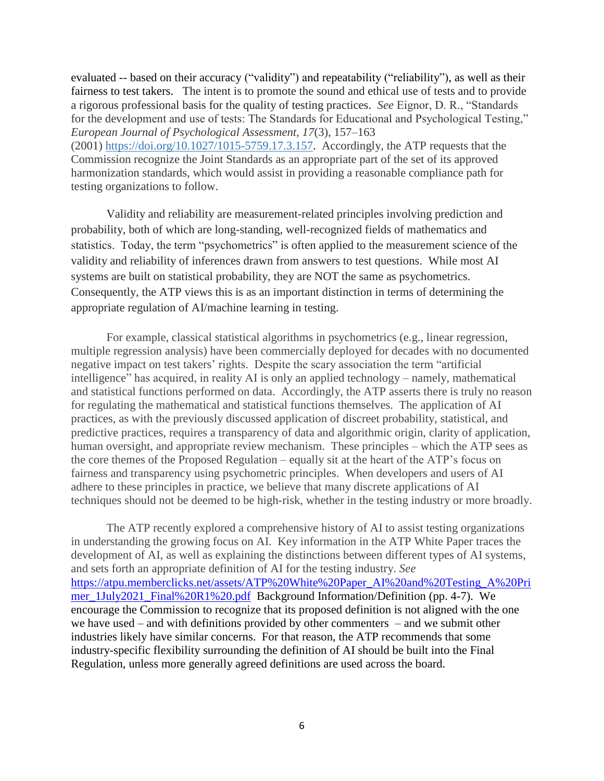evaluated -- based on their accuracy ("validity") and repeatability ("reliability"), as well as their fairness to test takers. The intent is to promote the sound and ethical use of tests and to provide a rigorous professional basis for the quality of testing practices. *See* Eignor, D. R., "Standards for the development and use of tests: The Standards for Educational and Psychological Testing," *European Journal of Psychological Assessment, 17*(3), 157–163 (2001) [https://doi.org/10.1027/1015-5759.17.3.157.](https://psycnet.apa.org/doi/10.1027/1015-5759.17.3.157) Accordingly, the ATP requests that the Commission recognize the Joint Standards as an appropriate part of the set of its approved harmonization standards, which would assist in providing a reasonable compliance path for testing organizations to follow.

Validity and reliability are measurement-related principles involving prediction and probability, both of which are long-standing, well-recognized fields of mathematics and statistics. Today, the term "psychometrics" is often applied to the measurement science of the validity and reliability of inferences drawn from answers to test questions. While most AI systems are built on statistical probability, they are NOT the same as psychometrics. Consequently, the ATP views this is as an important distinction in terms of determining the appropriate regulation of AI/machine learning in testing.

For example, classical statistical algorithms in psychometrics (e.g., linear regression, multiple regression analysis) have been commercially deployed for decades with no documented negative impact on test takers' rights. Despite the scary association the term "artificial intelligence" has acquired, in reality AI is only an applied technology – namely, mathematical and statistical functions performed on data. Accordingly, the ATP asserts there is truly no reason for regulating the mathematical and statistical functions themselves. The application of AI practices, as with the previously discussed application of discreet probability, statistical, and predictive practices, requires a transparency of data and algorithmic origin, clarity of application, human oversight, and appropriate review mechanism. These principles – which the ATP sees as the core themes of the Proposed Regulation – equally sit at the heart of the ATP's focus on fairness and transparency using psychometric principles. When developers and users of AI adhere to these principles in practice, we believe that many discrete applications of AI techniques should not be deemed to be high-risk, whether in the testing industry or more broadly.

The ATP recently explored a comprehensive history of AI to assist testing organizations in understanding the growing focus on AI. Key information in the ATP White Paper traces the development of AI, as well as explaining the distinctions between different types of AI systems, and sets forth an appropriate definition of AI for the testing industry. *See*  [https://atpu.memberclicks.net/assets/ATP%20White%20Paper\\_AI%20and%20Testing\\_A%20Pri](https://atpu.memberclicks.net/assets/ATP%20White%20Paper_AI%20and%20Testing_A%20Primer_1July2021_Final%20R1%20.pdf) [mer\\_1July2021\\_Final%20R1%20.pdf](https://atpu.memberclicks.net/assets/ATP%20White%20Paper_AI%20and%20Testing_A%20Primer_1July2021_Final%20R1%20.pdf) Background Information/Definition (pp. 4-7). We encourage the Commission to recognize that its proposed definition is not aligned with the one we have used – and with definitions provided by other commenters – and we submit other industries likely have similar concerns. For that reason, the ATP recommends that some industry-specific flexibility surrounding the definition of AI should be built into the Final Regulation, unless more generally agreed definitions are used across the board.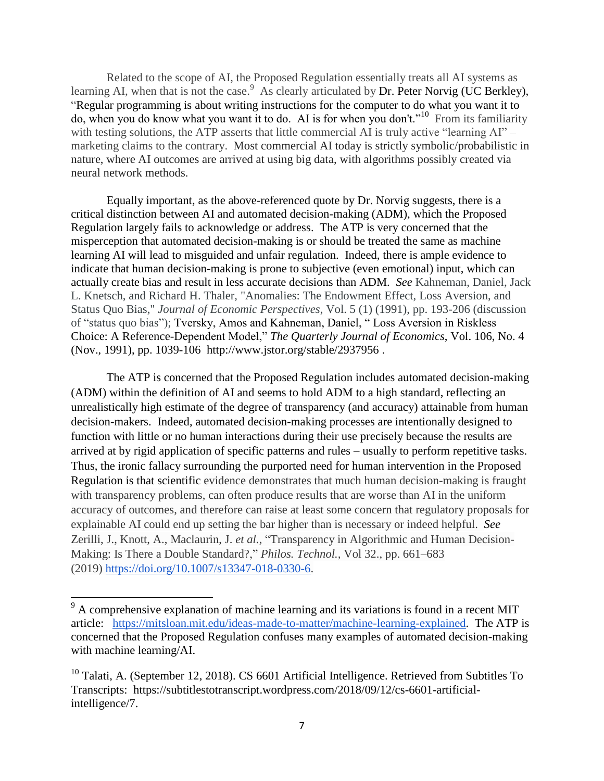Related to the scope of AI, the Proposed Regulation essentially treats all AI systems as learning AI, when that is not the case.  $\frac{9}{9}$  As clearly articulated by Dr. Peter Norvig (UC Berkley), "Regular programming is about writing instructions for the computer to do what you want it to do, when you do know what you want it to do. AI is for when you don't."<sup>10</sup> From its familiarity with testing solutions, the ATP asserts that little commercial AI is truly active "learning AI" – marketing claims to the contrary. Most commercial AI today is strictly symbolic/probabilistic in nature, where AI outcomes are arrived at using big data, with algorithms possibly created via neural network methods.

Equally important, as the above-referenced quote by Dr. Norvig suggests, there is a critical distinction between AI and automated decision-making (ADM), which the Proposed Regulation largely fails to acknowledge or address. The ATP is very concerned that the misperception that automated decision-making is or should be treated the same as machine learning AI will lead to misguided and unfair regulation. Indeed, there is ample evidence to indicate that human decision-making is prone to subjective (even emotional) input, which can actually create bias and result in less accurate decisions than ADM. *See* Kahneman, Daniel, Jack L. Knetsch, and Richard H. Thaler, "Anomalies: The Endowment Effect, Loss Aversion, and Status Quo Bias," *Journal of Economic Perspectives*, Vol. 5 (1) (1991), pp. 193-206 (discussion of "status quo bias"); Tversky, Amos and Kahneman, Daniel, " Loss Aversion in Riskless Choice: A Reference-Dependent Model," *The Quarterly Journal of Economics*, Vol. 106, No. 4 (Nov., 1991), pp. 1039-106 http://www.jstor.org/stable/2937956 .

The ATP is concerned that the Proposed Regulation includes automated decision-making (ADM) within the definition of AI and seems to hold ADM to a high standard, reflecting an unrealistically high estimate of the degree of transparency (and accuracy) attainable from human decision-makers. Indeed, automated decision-making processes are intentionally designed to function with little or no human interactions during their use precisely because the results are arrived at by rigid application of specific patterns and rules – usually to perform repetitive tasks. Thus, the ironic fallacy surrounding the purported need for human intervention in the Proposed Regulation is that scientific evidence demonstrates that much human decision-making is fraught with transparency problems, can often produce results that are worse than AI in the uniform accuracy of outcomes, and therefore can raise at least some concern that regulatory proposals for explainable AI could end up setting the bar higher than is necessary or indeed helpful. *See*  Zerilli, J., Knott, A., Maclaurin, J. *et al.,* "Transparency in Algorithmic and Human Decision-Making: Is There a Double Standard?," *Philos. Technol.,* Vol 32., pp. 661–683 (2019) [https://doi.org/10.1007/s13347-018-0330-6.](https://doi.org/10.1007/s13347-018-0330-6)

 $\overline{a}$ 

 $9<sup>9</sup>$  A comprehensive explanation of machine learning and its variations is found in a recent MIT article: [https://mitsloan.mit.edu/ideas-made-to-matter/machine-learning-explained.](https://mitsloan.mit.edu/ideas-made-to-matter/machine-learning-explained) The ATP is concerned that the Proposed Regulation confuses many examples of automated decision-making with machine learning/AI.

 $10$  Talati, A. (September 12, 2018). CS 6601 Artificial Intelligence. Retrieved from Subtitles To Transcripts: https://subtitlestotranscript.wordpress.com/2018/09/12/cs-6601-artificialintelligence/7.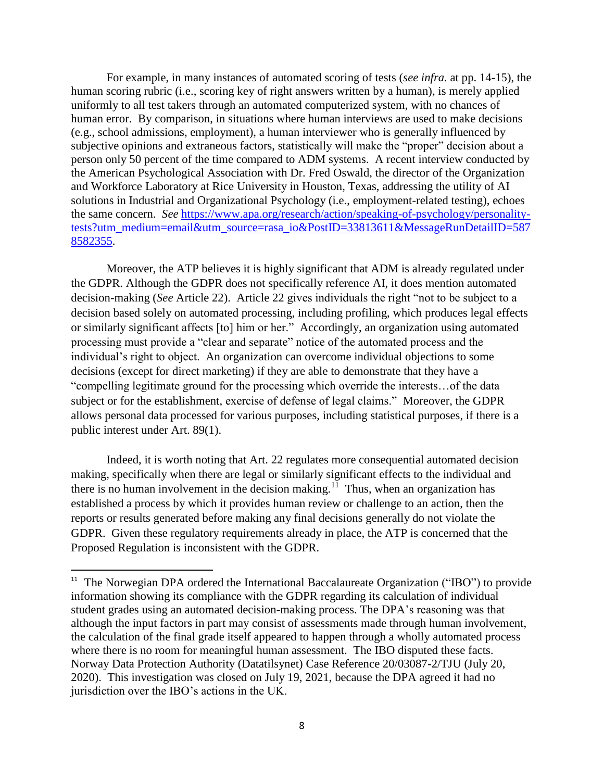For example, in many instances of automated scoring of tests (*see infra.* at pp. 14-15), the human scoring rubric (i.e., scoring key of right answers written by a human), is merely applied uniformly to all test takers through an automated computerized system, with no chances of human error. By comparison, in situations where human interviews are used to make decisions (e.g., school admissions, employment), a human interviewer who is generally influenced by subjective opinions and extraneous factors, statistically will make the "proper" decision about a person only 50 percent of the time compared to ADM systems. A recent interview conducted by the American Psychological Association with Dr. Fred Oswald, the director of the Organization and Workforce Laboratory at Rice University in Houston, Texas, addressing the utility of AI solutions in Industrial and Organizational Psychology (i.e., employment-related testing), echoes the same concern. *See* [https://www.apa.org/research/action/speaking-of-psychology/personality](https://www.apa.org/research/action/speaking-of-psychology/personality-tests?utm_medium=email&utm_source=rasa_io&PostID=33813611&MessageRunDetailID=5878582355)[tests?utm\\_medium=email&utm\\_source=rasa\\_io&PostID=33813611&MessageRunDetailID=587](https://www.apa.org/research/action/speaking-of-psychology/personality-tests?utm_medium=email&utm_source=rasa_io&PostID=33813611&MessageRunDetailID=5878582355) [8582355.](https://www.apa.org/research/action/speaking-of-psychology/personality-tests?utm_medium=email&utm_source=rasa_io&PostID=33813611&MessageRunDetailID=5878582355)

Moreover, the ATP believes it is highly significant that ADM is already regulated under the GDPR. Although the GDPR does not specifically reference AI, it does mention automated decision-making (*See* Article 22). Article 22 gives individuals the right "not to be subject to a decision based solely on automated processing, including profiling, which produces legal effects or similarly significant affects [to] him or her." Accordingly, an organization using automated processing must provide a "clear and separate" notice of the automated process and the individual's right to object. An organization can overcome individual objections to some decisions (except for direct marketing) if they are able to demonstrate that they have a "compelling legitimate ground for the processing which override the interests…of the data subject or for the establishment, exercise of defense of legal claims." Moreover, the GDPR allows personal data processed for various purposes, including statistical purposes, if there is a public interest under Art. 89(1).

Indeed, it is worth noting that Art. 22 regulates more consequential automated decision making, specifically when there are legal or similarly significant effects to the individual and there is no human involvement in the decision making.<sup>11</sup> Thus, when an organization has established a process by which it provides human review or challenge to an action, then the reports or results generated before making any final decisions generally do not violate the GDPR. Given these regulatory requirements already in place, the ATP is concerned that the Proposed Regulation is inconsistent with the GDPR.

l

<sup>&</sup>lt;sup>11</sup> The Norwegian DPA ordered the International Baccalaureate Organization ("IBO") to provide information showing its compliance with the GDPR regarding its calculation of individual student grades using an automated decision-making process. The DPA's reasoning was that although the input factors in part may consist of assessments made through human involvement, the calculation of the final grade itself appeared to happen through a wholly automated process where there is no room for meaningful human assessment. The IBO disputed these facts. Norway Data Protection Authority (Datatilsynet) Case Reference 20/03087-2/TJU (July 20, 2020). This investigation was closed on July 19, 2021, because the DPA agreed it had no jurisdiction over the IBO's actions in the UK.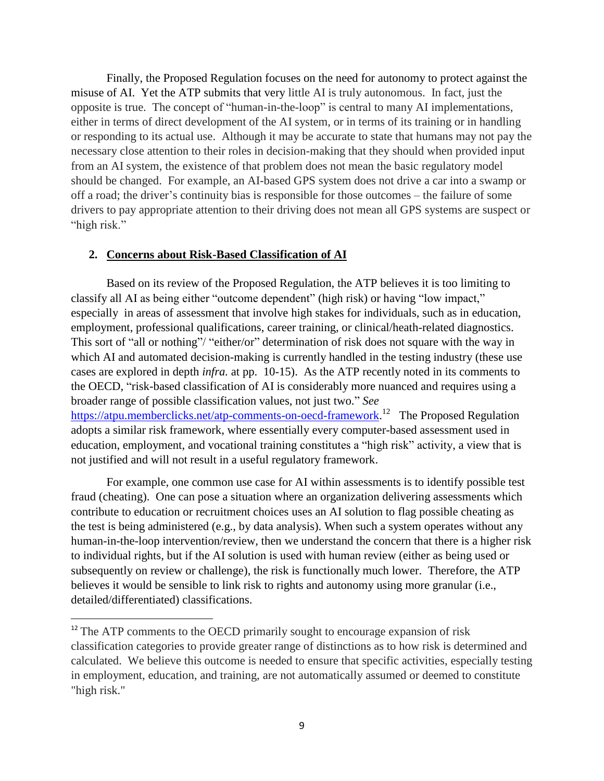Finally, the Proposed Regulation focuses on the need for autonomy to protect against the misuse of AI. Yet the ATP submits that very little AI is truly autonomous. In fact, just the opposite is true. The concept of "human-in-the-loop" is central to many AI implementations, either in terms of direct development of the AI system, or in terms of its training or in handling or responding to its actual use. Although it may be accurate to state that humans may not pay the necessary close attention to their roles in decision-making that they should when provided input from an AI system, the existence of that problem does not mean the basic regulatory model should be changed. For example, an AI-based GPS system does not drive a car into a swamp or off a road; the driver's continuity bias is responsible for those outcomes – the failure of some drivers to pay appropriate attention to their driving does not mean all GPS systems are suspect or "high risk."

### **2. Concerns about Risk-Based Classification of AI**

l

Based on its review of the Proposed Regulation, the ATP believes it is too limiting to classify all AI as being either "outcome dependent" (high risk) or having "low impact," especially in areas of assessment that involve high stakes for individuals, such as in education, employment, professional qualifications, career training, or clinical/heath-related diagnostics. This sort of "all or nothing"/ "either/or" determination of risk does not square with the way in which AI and automated decision-making is currently handled in the testing industry (these use cases are explored in depth *infra.* at pp. 10-15). As the ATP recently noted in its comments to the OECD, "risk-based classification of AI is considerably more nuanced and requires using a broader range of possible classification values, not just two." *See* [https://atpu.memberclicks.net/atp-comments-on-oecd-framework.](https://atpu.memberclicks.net/atp-comments-on-oecd-framework)<sup>12</sup> The Proposed Regulation adopts a similar risk framework, where essentially every computer-based assessment used in education, employment, and vocational training constitutes a "high risk" activity, a view that is not justified and will not result in a useful regulatory framework.

For example, one common use case for AI within assessments is to identify possible test fraud (cheating). One can pose a situation where an organization delivering assessments which contribute to education or recruitment choices uses an AI solution to flag possible cheating as the test is being administered (e.g., by data analysis). When such a system operates without any human-in-the-loop intervention/review, then we understand the concern that there is a higher risk to individual rights, but if the AI solution is used with human review (either as being used or subsequently on review or challenge), the risk is functionally much lower. Therefore, the ATP believes it would be sensible to link risk to rights and autonomy using more granular (i.e., detailed/differentiated) classifications.

<sup>&</sup>lt;sup>12</sup> The ATP comments to the OECD primarily sought to encourage expansion of risk classification categories to provide greater range of distinctions as to how risk is determined and calculated. We believe this outcome is needed to ensure that specific activities, especially testing in employment, education, and training, are not automatically assumed or deemed to constitute "high risk."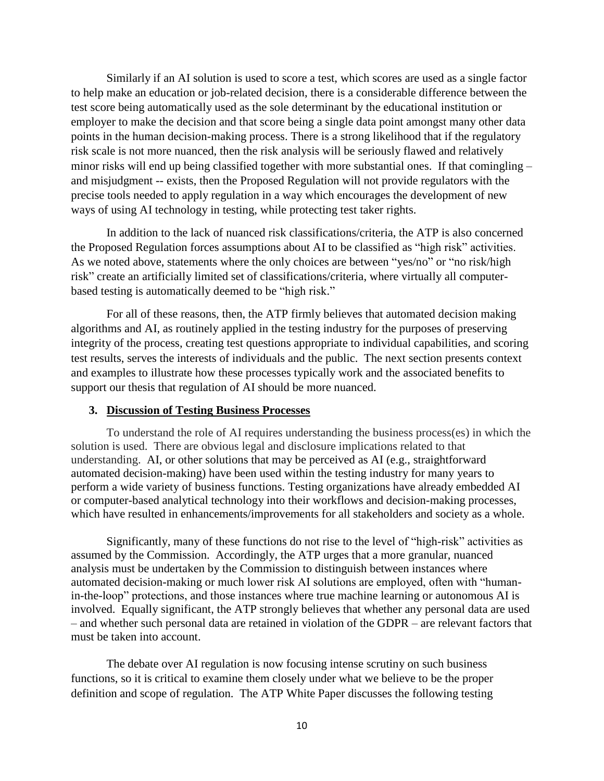Similarly if an AI solution is used to score a test, which scores are used as a single factor to help make an education or job-related decision, there is a considerable difference between the test score being automatically used as the sole determinant by the educational institution or employer to make the decision and that score being a single data point amongst many other data points in the human decision-making process. There is a strong likelihood that if the regulatory risk scale is not more nuanced, then the risk analysis will be seriously flawed and relatively minor risks will end up being classified together with more substantial ones. If that comingling – and misjudgment -- exists, then the Proposed Regulation will not provide regulators with the precise tools needed to apply regulation in a way which encourages the development of new ways of using AI technology in testing, while protecting test taker rights.

In addition to the lack of nuanced risk classifications/criteria, the ATP is also concerned the Proposed Regulation forces assumptions about AI to be classified as "high risk" activities. As we noted above, statements where the only choices are between "yes/no" or "no risk/high risk" create an artificially limited set of classifications/criteria, where virtually all computerbased testing is automatically deemed to be "high risk."

For all of these reasons, then, the ATP firmly believes that automated decision making algorithms and AI, as routinely applied in the testing industry for the purposes of preserving integrity of the process, creating test questions appropriate to individual capabilities, and scoring test results, serves the interests of individuals and the public. The next section presents context and examples to illustrate how these processes typically work and the associated benefits to support our thesis that regulation of AI should be more nuanced.

### **3. Discussion of Testing Business Processes**

To understand the role of AI requires understanding the business process(es) in which the solution is used. There are obvious legal and disclosure implications related to that understanding. AI, or other solutions that may be perceived as AI (e.g., straightforward automated decision-making) have been used within the testing industry for many years to perform a wide variety of business functions. Testing organizations have already embedded AI or computer-based analytical technology into their workflows and decision-making processes, which have resulted in enhancements/improvements for all stakeholders and society as a whole.

Significantly, many of these functions do not rise to the level of "high-risk" activities as assumed by the Commission. Accordingly, the ATP urges that a more granular, nuanced analysis must be undertaken by the Commission to distinguish between instances where automated decision-making or much lower risk AI solutions are employed, often with "humanin-the-loop" protections, and those instances where true machine learning or autonomous AI is involved. Equally significant, the ATP strongly believes that whether any personal data are used – and whether such personal data are retained in violation of the GDPR – are relevant factors that must be taken into account.

The debate over AI regulation is now focusing intense scrutiny on such business functions, so it is critical to examine them closely under what we believe to be the proper definition and scope of regulation. The ATP White Paper discusses the following testing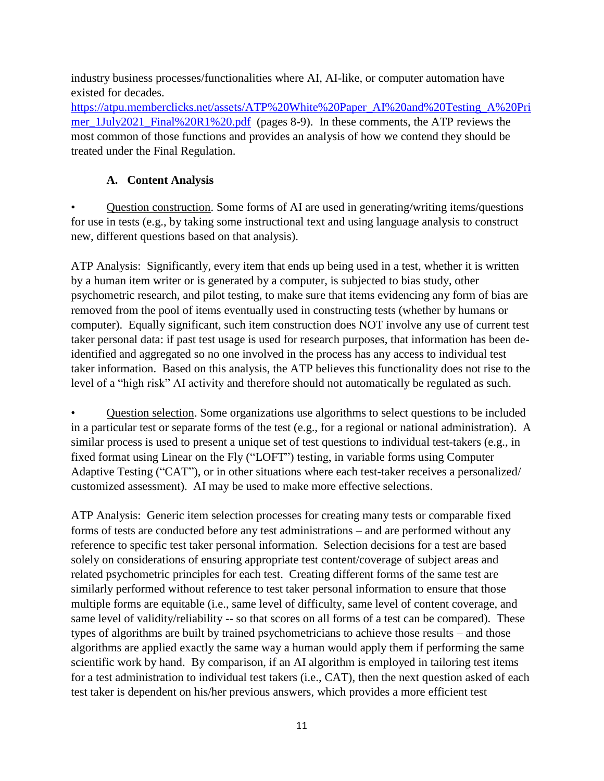industry business processes/functionalities where AI, AI-like, or computer automation have existed for decades.

[https://atpu.memberclicks.net/assets/ATP%20White%20Paper\\_AI%20and%20Testing\\_A%20Pri](https://atpu.memberclicks.net/assets/ATP%20White%20Paper_AI%20and%20Testing_A%20Primer_1July2021_Final%20R1%20.pdf) [mer\\_1July2021\\_Final%20R1%20.pdf](https://atpu.memberclicks.net/assets/ATP%20White%20Paper_AI%20and%20Testing_A%20Primer_1July2021_Final%20R1%20.pdf) (pages 8-9). In these comments, the ATP reviews the most common of those functions and provides an analysis of how we contend they should be treated under the Final Regulation.

# **A. Content Analysis**

• Question construction. Some forms of AI are used in generating/writing items/questions for use in tests (e.g., by taking some instructional text and using language analysis to construct new, different questions based on that analysis).

ATP Analysis: Significantly, every item that ends up being used in a test, whether it is written by a human item writer or is generated by a computer, is subjected to bias study, other psychometric research, and pilot testing, to make sure that items evidencing any form of bias are removed from the pool of items eventually used in constructing tests (whether by humans or computer). Equally significant, such item construction does NOT involve any use of current test taker personal data: if past test usage is used for research purposes, that information has been deidentified and aggregated so no one involved in the process has any access to individual test taker information. Based on this analysis, the ATP believes this functionality does not rise to the level of a "high risk" AI activity and therefore should not automatically be regulated as such.

• Question selection. Some organizations use algorithms to select questions to be included in a particular test or separate forms of the test (e.g., for a regional or national administration). A similar process is used to present a unique set of test questions to individual test-takers (e.g., in fixed format using Linear on the Fly ("LOFT") testing, in variable forms using Computer Adaptive Testing ("CAT"), or in other situations where each test-taker receives a personalized/ customized assessment). AI may be used to make more effective selections.

ATP Analysis: Generic item selection processes for creating many tests or comparable fixed forms of tests are conducted before any test administrations – and are performed without any reference to specific test taker personal information. Selection decisions for a test are based solely on considerations of ensuring appropriate test content/coverage of subject areas and related psychometric principles for each test. Creating different forms of the same test are similarly performed without reference to test taker personal information to ensure that those multiple forms are equitable (i.e., same level of difficulty, same level of content coverage, and same level of validity/reliability -- so that scores on all forms of a test can be compared). These types of algorithms are built by trained psychometricians to achieve those results – and those algorithms are applied exactly the same way a human would apply them if performing the same scientific work by hand. By comparison, if an AI algorithm is employed in tailoring test items for a test administration to individual test takers (i.e., CAT), then the next question asked of each test taker is dependent on his/her previous answers, which provides a more efficient test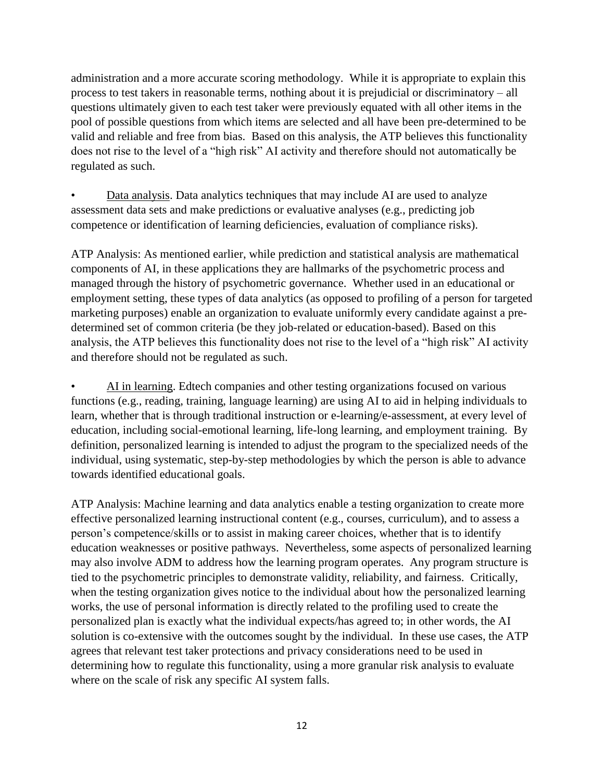administration and a more accurate scoring methodology. While it is appropriate to explain this process to test takers in reasonable terms, nothing about it is prejudicial or discriminatory – all questions ultimately given to each test taker were previously equated with all other items in the pool of possible questions from which items are selected and all have been pre-determined to be valid and reliable and free from bias. Based on this analysis, the ATP believes this functionality does not rise to the level of a "high risk" AI activity and therefore should not automatically be regulated as such.

• Data analysis. Data analytics techniques that may include AI are used to analyze assessment data sets and make predictions or evaluative analyses (e.g., predicting job competence or identification of learning deficiencies, evaluation of compliance risks).

ATP Analysis: As mentioned earlier, while prediction and statistical analysis are mathematical components of AI, in these applications they are hallmarks of the psychometric process and managed through the history of psychometric governance. Whether used in an educational or employment setting, these types of data analytics (as opposed to profiling of a person for targeted marketing purposes) enable an organization to evaluate uniformly every candidate against a predetermined set of common criteria (be they job-related or education-based). Based on this analysis, the ATP believes this functionality does not rise to the level of a "high risk" AI activity and therefore should not be regulated as such.

• AI in learning. Edtech companies and other testing organizations focused on various functions (e.g., reading, training, language learning) are using AI to aid in helping individuals to learn, whether that is through traditional instruction or e-learning/e-assessment, at every level of education, including social-emotional learning, life-long learning, and employment training. By definition, personalized learning is intended to adjust the program to the specialized needs of the individual, using systematic, step-by-step methodologies by which the person is able to advance towards identified educational goals.

ATP Analysis: Machine learning and data analytics enable a testing organization to create more effective personalized learning instructional content (e.g., courses, curriculum), and to assess a person's competence/skills or to assist in making career choices, whether that is to identify education weaknesses or positive pathways. Nevertheless, some aspects of personalized learning may also involve ADM to address how the learning program operates. Any program structure is tied to the psychometric principles to demonstrate validity, reliability, and fairness. Critically, when the testing organization gives notice to the individual about how the personalized learning works, the use of personal information is directly related to the profiling used to create the personalized plan is exactly what the individual expects/has agreed to; in other words, the AI solution is co-extensive with the outcomes sought by the individual. In these use cases, the ATP agrees that relevant test taker protections and privacy considerations need to be used in determining how to regulate this functionality, using a more granular risk analysis to evaluate where on the scale of risk any specific AI system falls.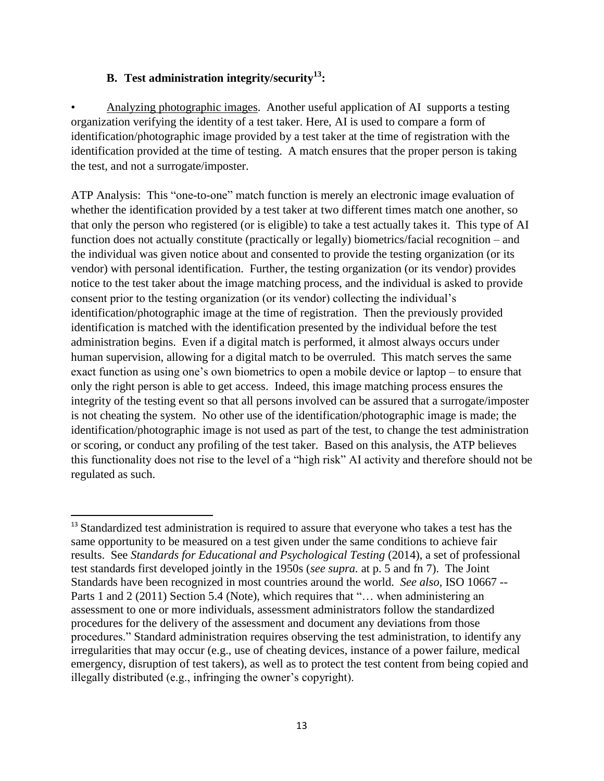## **B. Test administration integrity/security<sup>13</sup>:**

 $\overline{\phantom{a}}$ 

• Analyzing photographic images. Another useful application of AI supports a testing organization verifying the identity of a test taker. Here, AI is used to compare a form of identification/photographic image provided by a test taker at the time of registration with the identification provided at the time of testing. A match ensures that the proper person is taking the test, and not a surrogate/imposter.

ATP Analysis: This "one-to-one" match function is merely an electronic image evaluation of whether the identification provided by a test taker at two different times match one another, so that only the person who registered (or is eligible) to take a test actually takes it. This type of AI function does not actually constitute (practically or legally) biometrics/facial recognition – and the individual was given notice about and consented to provide the testing organization (or its vendor) with personal identification. Further, the testing organization (or its vendor) provides notice to the test taker about the image matching process, and the individual is asked to provide consent prior to the testing organization (or its vendor) collecting the individual's identification/photographic image at the time of registration. Then the previously provided identification is matched with the identification presented by the individual before the test administration begins. Even if a digital match is performed, it almost always occurs under human supervision, allowing for a digital match to be overruled. This match serves the same exact function as using one's own biometrics to open a mobile device or laptop – to ensure that only the right person is able to get access. Indeed, this image matching process ensures the integrity of the testing event so that all persons involved can be assured that a surrogate/imposter is not cheating the system. No other use of the identification/photographic image is made; the identification/photographic image is not used as part of the test, to change the test administration or scoring, or conduct any profiling of the test taker. Based on this analysis, the ATP believes this functionality does not rise to the level of a "high risk" AI activity and therefore should not be regulated as such.

<sup>&</sup>lt;sup>13</sup> Standardized test administration is required to assure that everyone who takes a test has the same opportunity to be measured on a test given under the same conditions to achieve fair results. See *Standards for Educational and Psychological Testing* (2014), a set of professional test standards first developed jointly in the 1950s (*see supra.* at p. 5 and fn 7). The Joint Standards have been recognized in most countries around the world. *See also,* ISO 10667 -- Parts 1 and 2 (2011) Section 5.4 (Note), which requires that "... when administering an assessment to one or more individuals, assessment administrators follow the standardized procedures for the delivery of the assessment and document any deviations from those procedures." Standard administration requires observing the test administration, to identify any irregularities that may occur (e.g., use of cheating devices, instance of a power failure, medical emergency, disruption of test takers), as well as to protect the test content from being copied and illegally distributed (e.g., infringing the owner's copyright).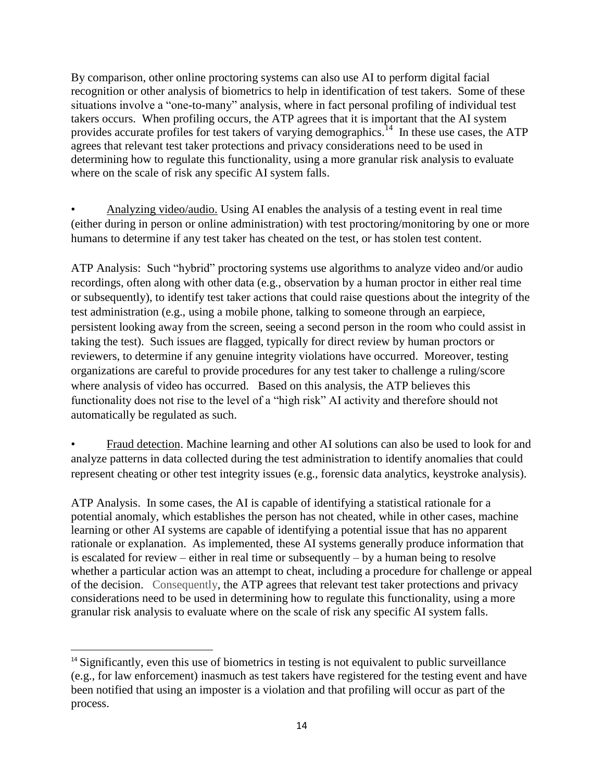By comparison, other online proctoring systems can also use AI to perform digital facial recognition or other analysis of biometrics to help in identification of test takers. Some of these situations involve a "one-to-many" analysis, where in fact personal profiling of individual test takers occurs. When profiling occurs, the ATP agrees that it is important that the AI system provides accurate profiles for test takers of varying demographics.<sup>14</sup> In these use cases, the ATP agrees that relevant test taker protections and privacy considerations need to be used in determining how to regulate this functionality, using a more granular risk analysis to evaluate where on the scale of risk any specific AI system falls.

• Analyzing video/audio. Using AI enables the analysis of a testing event in real time (either during in person or online administration) with test proctoring/monitoring by one or more humans to determine if any test taker has cheated on the test, or has stolen test content.

ATP Analysis: Such "hybrid" proctoring systems use algorithms to analyze video and/or audio recordings, often along with other data (e.g., observation by a human proctor in either real time or subsequently), to identify test taker actions that could raise questions about the integrity of the test administration (e.g., using a mobile phone, talking to someone through an earpiece, persistent looking away from the screen, seeing a second person in the room who could assist in taking the test). Such issues are flagged, typically for direct review by human proctors or reviewers, to determine if any genuine integrity violations have occurred. Moreover, testing organizations are careful to provide procedures for any test taker to challenge a ruling/score where analysis of video has occurred. Based on this analysis, the ATP believes this functionality does not rise to the level of a "high risk" AI activity and therefore should not automatically be regulated as such.

• Fraud detection. Machine learning and other AI solutions can also be used to look for and analyze patterns in data collected during the test administration to identify anomalies that could represent cheating or other test integrity issues (e.g., forensic data analytics, keystroke analysis).

ATP Analysis. In some cases, the AI is capable of identifying a statistical rationale for a potential anomaly, which establishes the person has not cheated, while in other cases, machine learning or other AI systems are capable of identifying a potential issue that has no apparent rationale or explanation. As implemented, these AI systems generally produce information that is escalated for review – either in real time or subsequently – by a human being to resolve whether a particular action was an attempt to cheat, including a procedure for challenge or appeal of the decision. Consequently, the ATP agrees that relevant test taker protections and privacy considerations need to be used in determining how to regulate this functionality, using a more granular risk analysis to evaluate where on the scale of risk any specific AI system falls.

 $\overline{\phantom{a}}$ <sup>14</sup> Significantly, even this use of biometrics in testing is not equivalent to public surveillance (e.g., for law enforcement) inasmuch as test takers have registered for the testing event and have been notified that using an imposter is a violation and that profiling will occur as part of the process.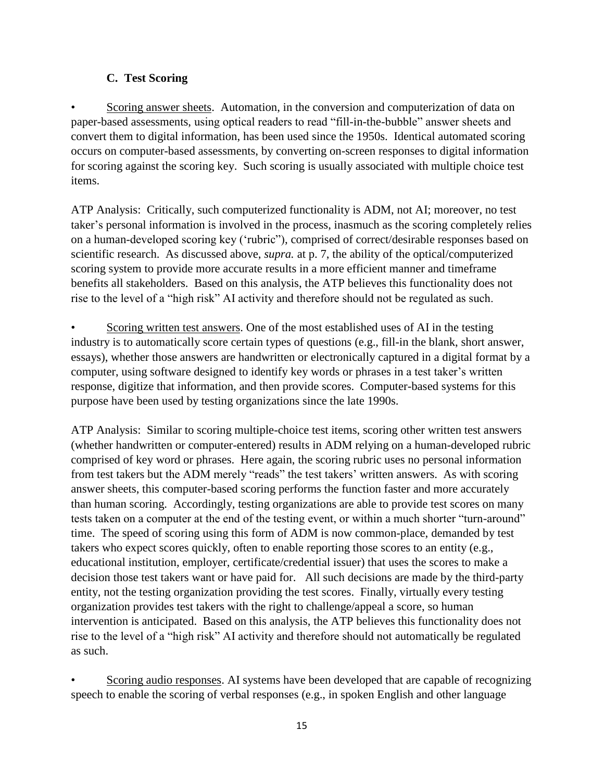## **C. Test Scoring**

• Scoring answer sheets. Automation, in the conversion and computerization of data on paper-based assessments, using optical readers to read "fill-in-the-bubble" answer sheets and convert them to digital information, has been used since the 1950s. Identical automated scoring occurs on computer-based assessments, by converting on-screen responses to digital information for scoring against the scoring key. Such scoring is usually associated with multiple choice test items.

ATP Analysis: Critically, such computerized functionality is ADM, not AI; moreover, no test taker's personal information is involved in the process, inasmuch as the scoring completely relies on a human-developed scoring key ('rubric"), comprised of correct/desirable responses based on scientific research. As discussed above, *supra.* at p. 7, the ability of the optical/computerized scoring system to provide more accurate results in a more efficient manner and timeframe benefits all stakeholders. Based on this analysis, the ATP believes this functionality does not rise to the level of a "high risk" AI activity and therefore should not be regulated as such.

Scoring written test answers. One of the most established uses of AI in the testing industry is to automatically score certain types of questions (e.g., fill-in the blank, short answer, essays), whether those answers are handwritten or electronically captured in a digital format by a computer, using software designed to identify key words or phrases in a test taker's written response, digitize that information, and then provide scores. Computer-based systems for this purpose have been used by testing organizations since the late 1990s.

ATP Analysis: Similar to scoring multiple-choice test items, scoring other written test answers (whether handwritten or computer-entered) results in ADM relying on a human-developed rubric comprised of key word or phrases. Here again, the scoring rubric uses no personal information from test takers but the ADM merely "reads" the test takers' written answers. As with scoring answer sheets, this computer-based scoring performs the function faster and more accurately than human scoring. Accordingly, testing organizations are able to provide test scores on many tests taken on a computer at the end of the testing event, or within a much shorter "turn-around" time. The speed of scoring using this form of ADM is now common-place, demanded by test takers who expect scores quickly, often to enable reporting those scores to an entity (e.g., educational institution, employer, certificate/credential issuer) that uses the scores to make a decision those test takers want or have paid for. All such decisions are made by the third-party entity, not the testing organization providing the test scores. Finally, virtually every testing organization provides test takers with the right to challenge/appeal a score, so human intervention is anticipated. Based on this analysis, the ATP believes this functionality does not rise to the level of a "high risk" AI activity and therefore should not automatically be regulated as such.

Scoring audio responses. AI systems have been developed that are capable of recognizing speech to enable the scoring of verbal responses (e.g., in spoken English and other language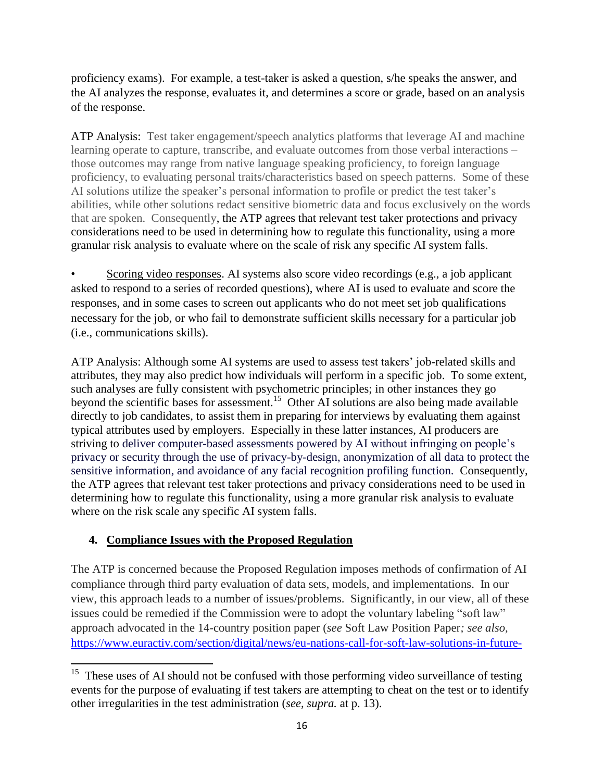proficiency exams). For example, a test-taker is asked a question, s/he speaks the answer, and the AI analyzes the response, evaluates it, and determines a score or grade, based on an analysis of the response.

ATP Analysis: Test taker engagement/speech analytics platforms that leverage AI and machine learning operate to capture, transcribe, and evaluate outcomes from those verbal interactions – those outcomes may range from native language speaking proficiency, to foreign language proficiency, to evaluating personal traits/characteristics based on speech patterns. Some of these AI solutions utilize the speaker's personal information to profile or predict the test taker's abilities, while other solutions redact sensitive biometric data and focus exclusively on the words that are spoken. Consequently, the ATP agrees that relevant test taker protections and privacy considerations need to be used in determining how to regulate this functionality, using a more granular risk analysis to evaluate where on the scale of risk any specific AI system falls.

Scoring video responses. AI systems also score video recordings (e.g., a job applicant asked to respond to a series of recorded questions), where AI is used to evaluate and score the responses, and in some cases to screen out applicants who do not meet set job qualifications necessary for the job, or who fail to demonstrate sufficient skills necessary for a particular job (i.e., communications skills).

ATP Analysis: Although some AI systems are used to assess test takers' job-related skills and attributes, they may also predict how individuals will perform in a specific job. To some extent, such analyses are fully consistent with psychometric principles; in other instances they go beyond the scientific bases for assessment.<sup>15</sup> Other AI solutions are also being made available directly to job candidates, to assist them in preparing for interviews by evaluating them against typical attributes used by employers. Especially in these latter instances, AI producers are striving to deliver computer-based assessments powered by AI without infringing on people's privacy or security through the use of privacy-by-design, anonymization of all data to protect the sensitive information, and avoidance of any facial recognition profiling function. Consequently, the ATP agrees that relevant test taker protections and privacy considerations need to be used in determining how to regulate this functionality, using a more granular risk analysis to evaluate where on the risk scale any specific AI system falls.

# **4. Compliance Issues with the Proposed Regulation**

The ATP is concerned because the Proposed Regulation imposes methods of confirmation of AI compliance through third party evaluation of data sets, models, and implementations. In our view, this approach leads to a number of issues/problems. Significantly, in our view, all of these issues could be remedied if the Commission were to adopt the voluntary labeling "soft law" approach advocated in the 14-country position paper (*see* Soft Law Position Paper*; see also,*  [https://www.euractiv.com/section/digital/news/eu-nations-call-for-soft-law-solutions-in-future-](https://www.euractiv.com/section/digital/news/eu-nations-call-for-soft-law-solutions-in-future-artificial-intelligence-regulation/)

<sup>&</sup>lt;sup>15</sup> These uses of AI should not be confused with those performing video surveillance of testing events for the purpose of evaluating if test takers are attempting to cheat on the test or to identify other irregularities in the test administration (*see, supra.* at p. 13).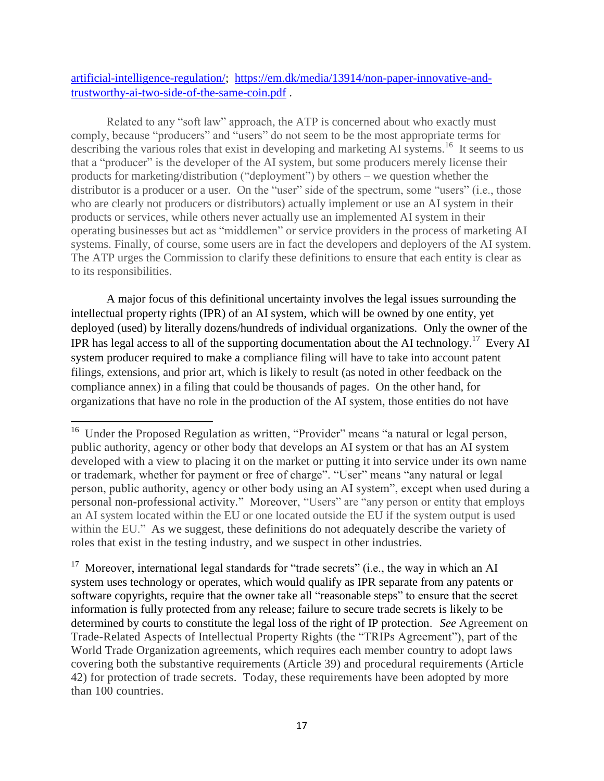## artificial-intelligence-regulation/; [https://em.dk/media/13914/non-paper-innovative-and](https://em.dk/media/13914/non-paper-innovative-and-trustworthy-ai-two-side-of-the-same-coin.pdf)[trustworthy-ai-two-side-of-the-same-coin.pdf](https://em.dk/media/13914/non-paper-innovative-and-trustworthy-ai-two-side-of-the-same-coin.pdf) .

Related to any "soft law" approach, the ATP is concerned about who exactly must comply, because "producers" and "users" do not seem to be the most appropriate terms for describing the various roles that exist in developing and marketing AI systems.<sup>16</sup> It seems to us that a "producer" is the developer of the AI system, but some producers merely license their products for marketing/distribution ("deployment") by others – we question whether the distributor is a producer or a user. On the "user" side of the spectrum, some "users" (i.e., those who are clearly not producers or distributors) actually implement or use an AI system in their products or services, while others never actually use an implemented AI system in their operating businesses but act as "middlemen" or service providers in the process of marketing AI systems. Finally, of course, some users are in fact the developers and deployers of the AI system. The ATP urges the Commission to clarify these definitions to ensure that each entity is clear as to its responsibilities.

A major focus of this definitional uncertainty involves the legal issues surrounding the intellectual property rights (IPR) of an AI system, which will be owned by one entity, yet deployed (used) by literally dozens/hundreds of individual organizations. Only the owner of the IPR has legal access to all of the supporting documentation about the AI technology.<sup>17</sup> Every AI system producer required to make a compliance filing will have to take into account patent filings, extensions, and prior art, which is likely to result (as noted in other feedback on the compliance annex) in a filing that could be thousands of pages. On the other hand, for organizations that have no role in the production of the AI system, those entities do not have

 $\overline{a}$ 

<sup>&</sup>lt;sup>16</sup> Under the Proposed Regulation as written, "Provider" means "a natural or legal person, public authority, agency or other body that develops an AI system or that has an AI system developed with a view to placing it on the market or putting it into service under its own name or trademark, whether for payment or free of charge". "User" means "any natural or legal person, public authority, agency or other body using an AI system", except when used during a personal non-professional activity." Moreover, "Users" are "any person or entity that employs an AI system located within the EU or one located outside the EU if the system output is used within the EU." As we suggest, these definitions do not adequately describe the variety of roles that exist in the testing industry, and we suspect in other industries.

<sup>&</sup>lt;sup>17</sup> Moreover, international legal standards for "trade secrets" (i.e., the way in which an AI system uses technology or operates, which would qualify as IPR separate from any patents or software copyrights, require that the owner take all "reasonable steps" to ensure that the secret information is fully protected from any release; failure to secure trade secrets is likely to be determined by courts to constitute the legal loss of the right of IP protection. *See* Agreement on Trade-Related Aspects of Intellectual Property Rights (the "TRIPs Agreement"), part of the World Trade Organization agreements, which requires each member country to adopt laws covering both the substantive requirements (Article 39) and procedural requirements (Article 42) for protection of trade secrets. Today, these requirements have been adopted by more than 100 countries.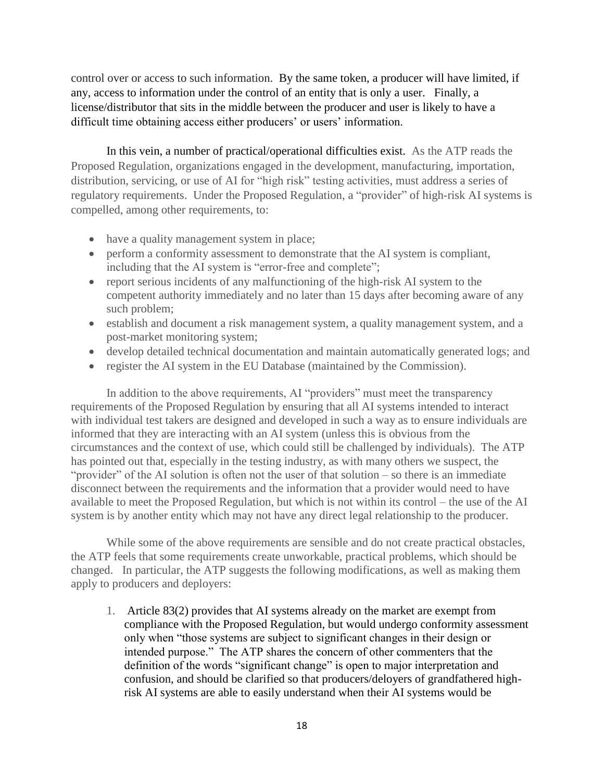control over or access to such information. By the same token, a producer will have limited, if any, access to information under the control of an entity that is only a user. Finally, a license/distributor that sits in the middle between the producer and user is likely to have a difficult time obtaining access either producers' or users' information.

In this vein, a number of practical/operational difficulties exist. As the ATP reads the Proposed Regulation, organizations engaged in the development, manufacturing, importation, distribution, servicing, or use of AI for "high risk" testing activities, must address a series of regulatory requirements. Under the Proposed Regulation, a "provider" of high-risk AI systems is compelled, among other requirements, to:

- have a quality management system in place;
- perform a conformity assessment to demonstrate that the AI system is compliant, including that the AI system is "error-free and complete";
- report serious incidents of any malfunctioning of the high-risk AI system to the competent authority immediately and no later than 15 days after becoming aware of any such problem;
- establish and document a risk management system, a quality management system, and a post-market monitoring system;
- develop detailed technical documentation and maintain automatically generated logs; and
- register the AI system in the EU Database (maintained by the Commission).

In addition to the above requirements, AI "providers" must meet the transparency requirements of the Proposed Regulation by ensuring that all AI systems intended to interact with individual test takers are designed and developed in such a way as to ensure individuals are informed that they are interacting with an AI system (unless this is obvious from the circumstances and the context of use, which could still be challenged by individuals). The ATP has pointed out that, especially in the testing industry, as with many others we suspect, the "provider" of the AI solution is often not the user of that solution – so there is an immediate disconnect between the requirements and the information that a provider would need to have available to meet the Proposed Regulation, but which is not within its control – the use of the AI system is by another entity which may not have any direct legal relationship to the producer.

While some of the above requirements are sensible and do not create practical obstacles, the ATP feels that some requirements create unworkable, practical problems, which should be changed. In particular, the ATP suggests the following modifications, as well as making them apply to producers and deployers:

1. Article 83(2) provides that AI systems already on the market are exempt from compliance with the Proposed Regulation, but would undergo conformity assessment only when "those systems are subject to significant changes in their design or intended purpose." The ATP shares the concern of other commenters that the definition of the words "significant change" is open to major interpretation and confusion, and should be clarified so that producers/deloyers of grandfathered highrisk AI systems are able to easily understand when their AI systems would be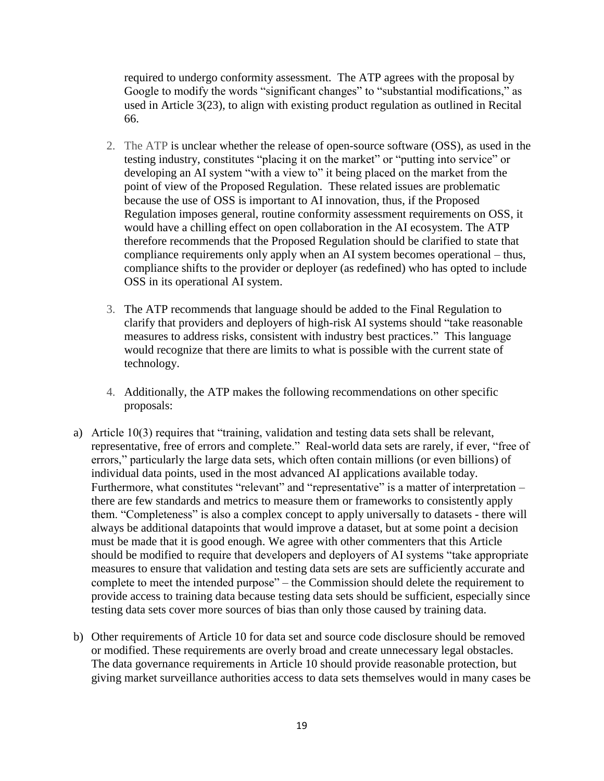required to undergo conformity assessment. The ATP agrees with the proposal by Google to modify the words "significant changes" to "substantial modifications," as used in Article 3(23), to align with existing product regulation as outlined in Recital 66.

- 2. The ATP is unclear whether the release of open-source software (OSS), as used in the testing industry, constitutes "placing it on the market" or "putting into service" or developing an AI system "with a view to" it being placed on the market from the point of view of the Proposed Regulation. These related issues are problematic because the use of OSS is important to AI innovation, thus, if the Proposed Regulation imposes general, routine conformity assessment requirements on OSS, it would have a chilling effect on open collaboration in the AI ecosystem. The ATP therefore recommends that the Proposed Regulation should be clarified to state that compliance requirements only apply when an AI system becomes operational – thus, compliance shifts to the provider or deployer (as redefined) who has opted to include OSS in its operational AI system.
- 3. The ATP recommends that language should be added to the Final Regulation to clarify that providers and deployers of high-risk AI systems should "take reasonable measures to address risks, consistent with industry best practices." This language would recognize that there are limits to what is possible with the current state of technology.
- 4. Additionally, the ATP makes the following recommendations on other specific proposals:
- a) Article 10(3) requires that "training, validation and testing data sets shall be relevant, representative, free of errors and complete." Real-world data sets are rarely, if ever, "free of errors," particularly the large data sets, which often contain millions (or even billions) of individual data points, used in the most advanced AI applications available today. Furthermore, what constitutes "relevant" and "representative" is a matter of interpretation – there are few standards and metrics to measure them or frameworks to consistently apply them. "Completeness" is also a complex concept to apply universally to datasets - there will always be additional datapoints that would improve a dataset, but at some point a decision must be made that it is good enough. We agree with other commenters that this Article should be modified to require that developers and deployers of AI systems "take appropriate measures to ensure that validation and testing data sets are sets are sufficiently accurate and complete to meet the intended purpose" – the Commission should delete the requirement to provide access to training data because testing data sets should be sufficient, especially since testing data sets cover more sources of bias than only those caused by training data.
- b) Other requirements of Article 10 for data set and source code disclosure should be removed or modified. These requirements are overly broad and create unnecessary legal obstacles. The data governance requirements in Article 10 should provide reasonable protection, but giving market surveillance authorities access to data sets themselves would in many cases be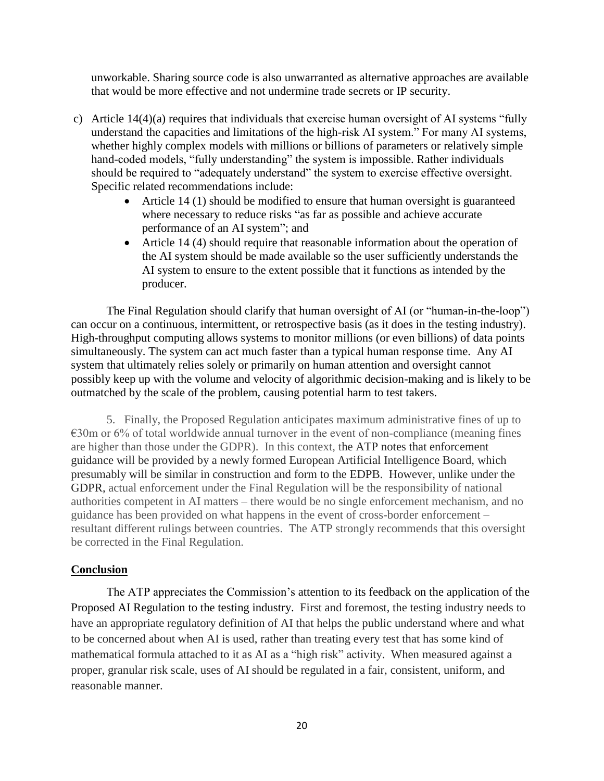unworkable. Sharing source code is also unwarranted as alternative approaches are available that would be more effective and not undermine trade secrets or IP security.

- c) Article 14(4)(a) requires that individuals that exercise human oversight of AI systems "fully understand the capacities and limitations of the high-risk AI system." For many AI systems, whether highly complex models with millions or billions of parameters or relatively simple hand-coded models, "fully understanding" the system is impossible. Rather individuals should be required to "adequately understand" the system to exercise effective oversight. Specific related recommendations include:
	- Article 14 (1) should be modified to ensure that human oversight is guaranteed where necessary to reduce risks "as far as possible and achieve accurate performance of an AI system"; and
	- Article 14 (4) should require that reasonable information about the operation of the AI system should be made available so the user sufficiently understands the AI system to ensure to the extent possible that it functions as intended by the producer.

The Final Regulation should clarify that human oversight of AI (or "human-in-the-loop") can occur on a continuous, intermittent, or retrospective basis (as it does in the testing industry). High-throughput computing allows systems to monitor millions (or even billions) of data points simultaneously. The system can act much faster than a typical human response time. Any AI system that ultimately relies solely or primarily on human attention and oversight cannot possibly keep up with the volume and velocity of algorithmic decision-making and is likely to be outmatched by the scale of the problem, causing potential harm to test takers.

5. Finally, the Proposed Regulation anticipates maximum administrative fines of up to €30m or 6% of total worldwide annual turnover in the event of non-compliance (meaning fines are higher than those under the GDPR). In this context, the ATP notes that enforcement guidance will be provided by a newly formed European Artificial Intelligence Board, which presumably will be similar in construction and form to the EDPB. However, unlike under the GDPR, actual enforcement under the Final Regulation will be the responsibility of national authorities competent in AI matters – there would be no single enforcement mechanism, and no guidance has been provided on what happens in the event of cross-border enforcement – resultant different rulings between countries. The ATP strongly recommends that this oversight be corrected in the Final Regulation.

### **Conclusion**

The ATP appreciates the Commission's attention to its feedback on the application of the Proposed AI Regulation to the testing industry. First and foremost, the testing industry needs to have an appropriate regulatory definition of AI that helps the public understand where and what to be concerned about when AI is used, rather than treating every test that has some kind of mathematical formula attached to it as AI as a "high risk" activity. When measured against a proper, granular risk scale, uses of AI should be regulated in a fair, consistent, uniform, and reasonable manner.